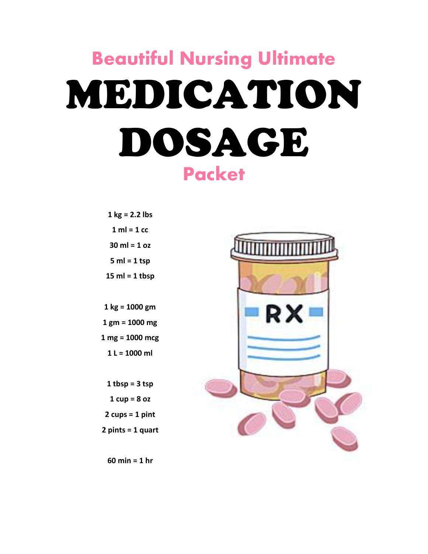# **Beautiful Nursing Ultimate** MEDICATION DOSAGE **Packet**

**1 kg = 2.2 lbs 1 ml = 1 cc 30 ml = 1 oz 5 ml = 1 tsp 15 ml = 1 tbsp 1 kg = 1000 gm 1 gm = 1000 mg**

**1 mg = 1000 mcg 1 L = 1000 ml**

**1 tbsp = 3 tsp 1 cup = 8 oz 2 cups = 1 pint 2 pints = 1 quart**



**60 min = 1 hr**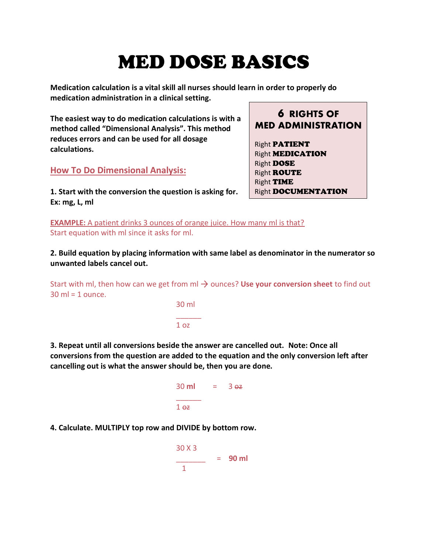# MED DOSE BASICS

**Medication calculation is a vital skill all nurses should learn in order to properly do medication administration in a clinical setting.**

**The easiest way to do medication calculations is with a method called "Dimensional Analysis". This method reduces errors and can be used for all dosage calculations.** 

**How To Do Dimensional Analysis:**

**1. Start with the conversion the question is asking for. Ex: mg, L, ml**

**6 RIGHTS OF MED ADMINISTRATION**

Right PATIENT **Right MEDICATION** Right DOSE Right ROUTE Right TIME **Right DOCUMENTATION** 

**EXAMPLE:** A patient drinks 3 ounces of orange juice. How many ml is that? Start equation with ml since it asks for ml.

**2. Build equation by placing information with same label as denominator in the numerator so unwanted labels cancel out.** 

Start with ml, then how can we get from ml  $\rightarrow$  ounces? Use your conversion sheet to find out  $30 \text{ ml} = 1 \text{ ounce}$ .

> 30 ml \_\_\_\_\_\_  $1<sub>0z</sub>$

**3. Repeat until all conversions beside the answer are cancelled out. Note: Once all conversions from the question are added to the equation and the only conversion left after cancelling out is what the answer should be, then you are done.** 

| 30 ml           | = | 3 <sub>0z</sub> |
|-----------------|---|-----------------|
| 1 <sub>07</sub> |   |                 |

**4. Calculate. MULTIPLY top row and DIVIDE by bottom row.**

| 30 X 3 | $= 90$ ml |
|--------|-----------|
|        |           |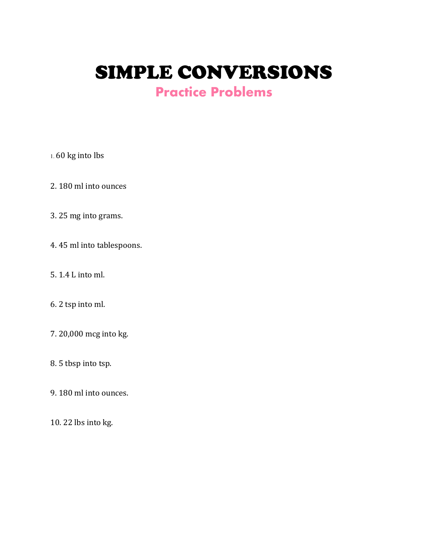SIMPLE CONVERSIONS

### **Practice Problems**

1. 60 kg into lbs

2. 180 ml into ounces

3. 25 mg into grams.

4. 45 ml into tablespoons.

5. 1.4 L into ml.

6. 2 tsp into ml.

7. 20,000 mcg into kg.

8. 5 tbsp into tsp.

9. 180 ml into ounces.

10. 22 lbs into kg.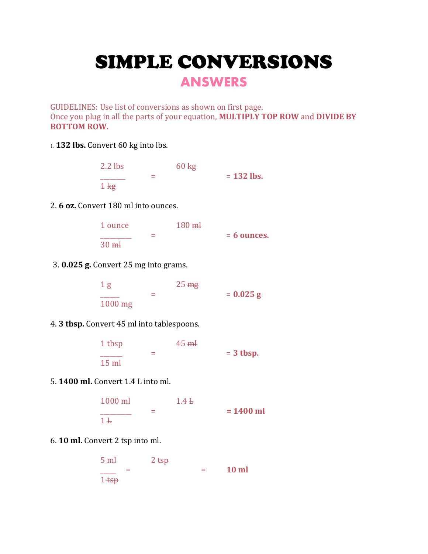# SIMPLE CONVERSIONS

### **ANSWERS**

GUIDELINES: Use list of conversions as shown on first page. Once you plug in all the parts of your equation, **MULTIPLY TOP ROW** and **DIVIDE BY BOTTOM ROW.** 

1. **132 lbs.** Convert 60 kg into lbs.

| $2.2$ lbs       | $60 \text{ kg}$ |              |
|-----------------|-----------------|--------------|
|                 |                 | $= 132$ lbs. |
| 1 <sub>kg</sub> |                 |              |

2. **6 oz.** Convert 180 ml into ounces.

| 1 ounce         |     | $180 \text{ m}$ |               |
|-----------------|-----|-----------------|---------------|
|                 | $=$ |                 | $= 6$ ounces. |
| 30 <sub>m</sub> |     |                 |               |

3. **0.025 g.** Convert 25 mg into grams.

| 1 <sub>g</sub>     | 25 <sub>mg</sub> |             |
|--------------------|------------------|-------------|
|                    |                  | $= 0.025 g$ |
| $1000 \ \text{mg}$ |                  |             |

#### 4. **3 tbsp.** Convert 45 ml into tablespoons.

| 1 tbsp          |     | $45$ $\text{m}$ |             |
|-----------------|-----|-----------------|-------------|
|                 | $=$ |                 | $= 3$ tbsp. |
| 15 <sub>m</sub> |     |                 |             |

5. **1400 ml.** Convert 1.4 L into ml.

| $1000$ ml |   | 1.4L |             |
|-----------|---|------|-------------|
|           | - |      | $= 1400$ ml |
| $1 +$     |   |      |             |

6. **10 ml.** Convert 2 tsp into ml.

| $5 \text{ ml}$ |   | $2$ tsp |     |              |
|----------------|---|---------|-----|--------------|
|                | ⋍ |         | $=$ | <b>10 ml</b> |
| $1 + sp$       |   |         |     |              |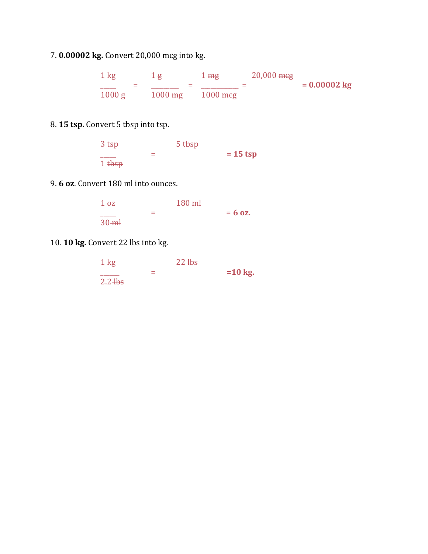7. **0.00002 kg.** Convert 20,000 mcg into kg.

1 kg 1 g 1 mg 20,000 meg \_\_\_\_\_ = \_\_\_\_\_\_\_\_\_ = \_\_\_\_\_\_\_\_\_\_\_\_ = **= 0.00002 kg** 1000 g 1000 mg 1000 mcg

#### 8. **15 tsp.** Convert 5 tbsp into tsp.

| 3 tsp             | 5 <sub>tbsp</sub> |            |
|-------------------|-------------------|------------|
|                   |                   | $= 15$ tsp |
| 1 <sub>tbsp</sub> |                   |            |

#### 9. **6 oz**. Convert 180 ml into ounces.

| 1 <sub>oz</sub> |     | $180$ ml |           |
|-----------------|-----|----------|-----------|
|                 | $=$ |          | $= 6$ oz. |
| $30 - m$        |     |          |           |

10. **10 kg.** Convert 22 lbs into kg.

| $1 \text{ kg}$ | 22 <sub>1</sub> |           |
|----------------|-----------------|-----------|
|                |                 | $=10$ kg. |
| $2.2 + b s$    |                 |           |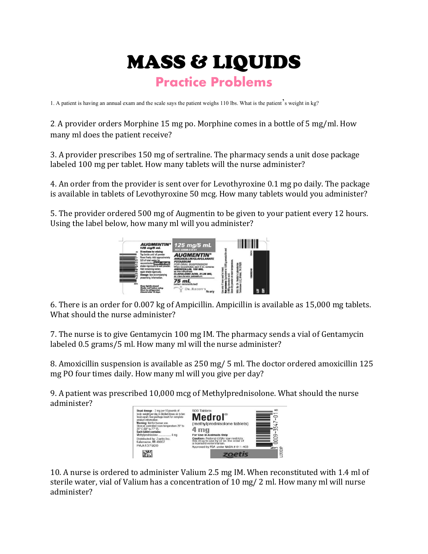## MASS & LIQUIDS **Practice Problems**

1. A patient is having an annual exam and the scale says the patient weighs 110 lbs. What is the patient's weight in kg?

2. A provider orders Morphine 15 mg po. Morphine comes in a bottle of 5 mg/ml. How many ml does the patient receive?

3. A provider prescribes 150 mg of sertraline. The pharmacy sends a unit dose package labeled 100 mg per tablet. How many tablets will the nurse administer?

4. An order from the provider is sent over for Levothyroxine 0.1 mg po daily. The package is available in tablets of Levothyroxine 50 mcg. How many tablets would you administer?

5. The provider ordered 500 mg of Augmentin to be given to your patient every 12 hours. Using the label below, how many ml will you administer?



6. There is an order for 0.007 kg of Ampicillin. Ampicillin is available as 15,000 mg tablets. What should the nurse administer?

7. The nurse is to give Gentamycin 100 mg IM. The pharmacy sends a vial of Gentamycin labeled 0.5 grams/5 ml. How many ml will the nurse administer?

8. Amoxicillin suspension is available as 250 mg/ 5 ml. The doctor ordered amoxicillin 125 mg PO four times daily. How many ml will you give per day?

9. A patient was prescribed 10,000 mcg of Methylprednisolone. What should the nurse administer?



10. A nurse is ordered to administer Valium 2.5 mg IM. When reconstituted with 1.4 ml of sterile water, vial of Valium has a concentration of 10 mg/ 2 ml. How many ml will nurse administer?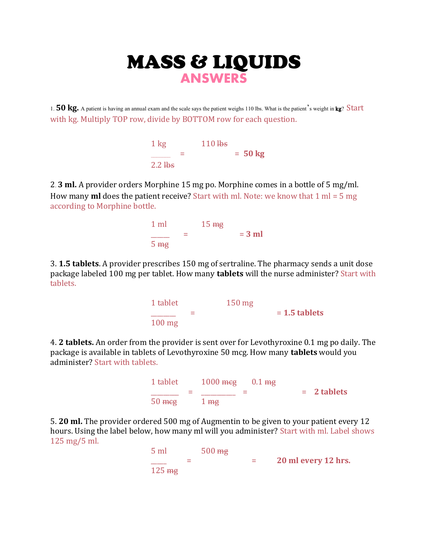### MASS & LIQUIDS **ANSWERS**

1. **50 kg.** A patient is having an annual exam and the scale says the patient weighs 110 lbs. What is the patient's weight in kg? Start with kg. Multiply TOP row, divide by BOTTOM row for each question.

| $1 \text{ kg}$ | 110 <sub>h</sub> |                   |
|----------------|------------------|-------------------|
|                |                  | $= 50 \text{ kg}$ |
| $2.2$ Hbs      |                  |                   |

2. **3 ml.** A provider orders Morphine 15 mg po. Morphine comes in a bottle of 5 mg/ml. How many **ml** does the patient receive? Start with ml. Note: we know that 1 ml = 5 mg according to Morphine bottle.



3. **1.5 tablets**. A provider prescribes 150 mg of sertraline. The pharmacy sends a unit dose package labeled 100 mg per tablet. How many **tablets** will the nurse administer? Start with tablets.



4. **2 tablets.** An order from the provider is sent over for Levothyroxine 0.1 mg po daily. The package is available in tablets of Levothyroxine 50 mcg. How many **tablets** would you administer? Start with tablets.



5. **20 ml.** The provider ordered 500 mg of Augmentin to be given to your patient every 12 hours. Using the label below, how many ml will you administer? Start with ml. Label shows 125 mg/5 ml.

| 5 <sub>ml</sub>  | $500 \ \text{mg}$ |                     |
|------------------|-------------------|---------------------|
|                  |                   | 20 ml every 12 hrs. |
| $125 \text{ mg}$ |                   |                     |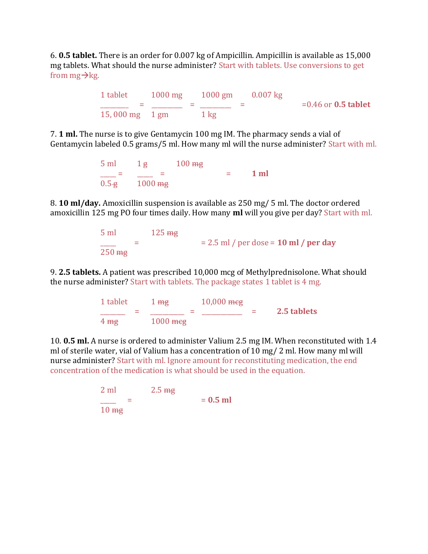6. **0.5 tablet.** There is an order for 0.007 kg of Ampicillin. Ampicillin is available as 15,000 mg tablets. What should the nurse administer? Start with tablets. Use conversions to get from  $mg \rightarrow kg$ .

> 1 tablet 1000 mg 1000 gm 0.007 kg \_\_\_\_\_\_\_\_\_ = \_\_\_\_\_\_\_\_\_\_ = \_\_\_\_\_\_\_\_\_\_ = =0.46 or **0.5 tablet** 15,000 mg 1 gm 1 kg

7. **1 ml.** The nurse is to give Gentamycin 100 mg IM. The pharmacy sends a vial of Gentamycin labeled 0.5 grams/5 ml. How many ml will the nurse administer? Start with ml.

> $5 \text{ ml}$   $1 \text{ g}$   $100 \text{ mg}$  $\frac{1}{2\pi} = \frac{3}{4000} = 1$  ml  $0.5 - e$  1000 me

8. **10 ml/day.** Amoxicillin suspension is available as 250 mg/ 5 ml. The doctor ordered amoxicillin 125 mg PO four times daily. How many **ml** will you give per day? Start with ml.

| $5 \text{ ml}$      | $125 \,\mathrm{mg}$ |                                           |
|---------------------|---------------------|-------------------------------------------|
|                     |                     | $= 2.5$ ml / per dose $= 10$ ml / per day |
| $250 \,\mathrm{mg}$ |                     |                                           |

9. **2.5 tablets.** A patient was prescribed 10,000 mcg of Methylprednisolone. What should the nurse administer? Start with tablets. The package states 1 tablet is 4 mg.

> 1 tablet 1 mg 10,000 mcg \_\_\_\_\_\_\_\_ = \_\_\_\_\_\_\_\_\_\_\_ = \_\_\_\_\_\_\_\_\_\_\_\_\_ = **2.5 tablets** 4 mg 1000 mcg

10. **0.5 ml.** A nurse is ordered to administer Valium 2.5 mg IM. When reconstituted with 1.4 ml of sterile water, vial of Valium has a concentration of 10 mg/ 2 ml. How many ml will nurse administer? Start with ml. Ignore amount for reconstituting medication, the end concentration of the medication is what should be used in the equation.

> 2 ml 2.5 mg  $\frac{1}{10 \text{ m/s}}$  =  $\frac{1}{10 \text{ m/s}}$  =  $\frac{0.5 \text{ ml}}{0.5 \text{ ml}}$ 10 mg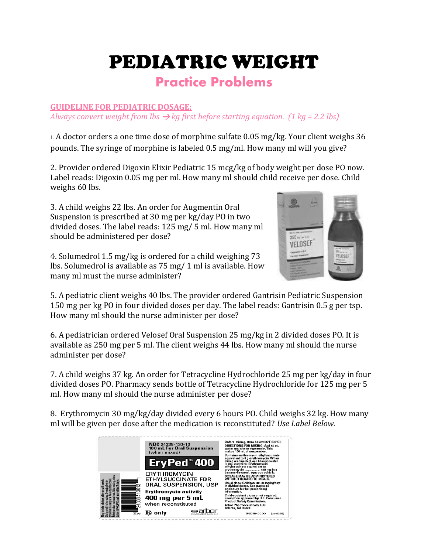# PEDIATRIC WEIGHT

### **Practice Problems**

#### **GUIDELINE FOR PEDIATRIC DOSAGE:**

*Always convert weight from lbs*  $\rightarrow$  *kg first before starting equation. (1 kg = 2.2 lbs)* 

1. A doctor orders a one time dose of morphine sulfate 0.05 mg/kg. Your client weighs 36 pounds. The syringe of morphine is labeled 0.5 mg/ml. How many ml will you give?

2. Provider ordered Digoxin Elixir Pediatric 15 mcg/kg of body weight per dose PO now. Label reads: Digoxin 0.05 mg per ml. How many ml should child receive per dose. Child weighs 60 lbs.

3. A child weighs 22 lbs. An order for Augmentin Oral Suspension is prescribed at 30 mg per kg/day PO in two divided doses. The label reads: 125 mg/ 5 ml. How many ml should be administered per dose?

4. Solumedrol 1.5 mg/kg is ordered for a child weighing 73 lbs. Solumedrol is available as 75 mg/ 1 ml is available. How many ml must the nurse administer?



5. A pediatric client weighs 40 lbs. The provider ordered Gantrisin Pediatric Suspension 150 mg per kg PO in four divided doses per day. The label reads: Gantrisin 0.5 g per tsp. How many ml should the nurse administer per dose?

6. A pediatrician ordered Velosef Oral Suspension 25 mg/kg in 2 divided doses PO. It is available as 250 mg per 5 ml. The client weighs 44 lbs. How many ml should the nurse administer per dose?

7. A child weighs 37 kg. An order for Tetracycline Hydrochloride 25 mg per kg/day in four divided doses PO. Pharmacy sends bottle of Tetracycline Hydrochloride for 125 mg per 5 ml. How many ml should the nurse administer per dose?

8. Erythromycin 30 mg/kg/day divided every 6 hours PO. Child weighs 32 kg. How many ml will be given per dose after the medication is reconstituted? *Use Label Below.*

|    | <b>NDC 24338-130-13</b><br><b>100 mL For Oral Suspension</b><br>(when mixed) | Before mixing, store below 86°F (30°C).<br>DIRECTIONS FOR MIXING: Add 49 mL<br>water and shake vigorously. This<br>makes 100 mL of suspension.<br>Contains erythromycin ethylsuccinate             |  |
|----|------------------------------------------------------------------------------|----------------------------------------------------------------------------------------------------------------------------------------------------------------------------------------------------|--|
|    | EryPed <sup>®</sup> 400                                                      | equivalent to 8 g erythromycin. When<br>mixed as directed, each teaspoonful<br>(5 mL) contains: Erythromycin<br>ethylsuccinate equivalent to                                                       |  |
| ൦  | ERYTHROMYCIN<br>ETHYLSUCCINATE FOR<br>ORAL SUSPENSION, USP                   | erythromycin  400 mg in a<br>banana-flavored, aqueous vehicle.<br>DOSAGE MAY BE ADMINISTERED<br>WITHOUT REGARD TO MEALS.<br>Usual dose: Children: 30-50 mg/kg/day<br>in divided doses. See package |  |
|    | <b>Erythromycin activity</b><br>400 mg per 5 mL                              | enclosure for full prescribing<br>information.<br>Child-resistant closure not required;<br>exemption approved by U.S. Consumer<br><b>Product Safety Commission.</b>                                |  |
| ಶ್ | when reconstituted<br>${\bf B}$ only                                         | Arbor Pharmaceuticals, LLC<br><b>Atlanta, GA 30328</b><br>EPED TR400.00<br>fList 6305)                                                                                                             |  |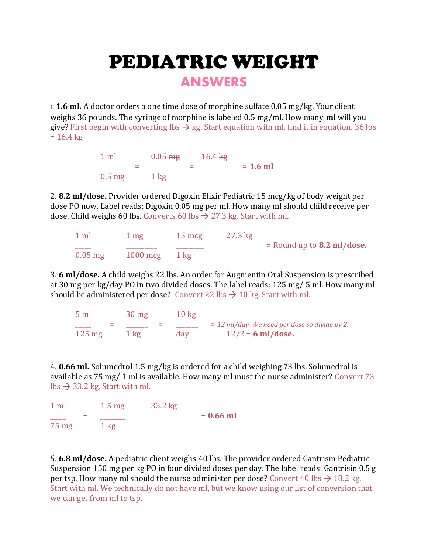# PEDIATRIC WEIGHT

**ANSWERS**

1. **1.6 ml.** A doctor orders a one time dose of morphine sulfate 0.05 mg/kg. Your client weighs 36 pounds. The syringe of morphine is labeled 0.5 mg/ml. How many **ml** will you give? First begin with converting lbs  $\rightarrow$  kg. Start equation with ml, find it in equation. 36 lbs  $= 16.4 \text{ kg}$ 

| 1 ml                  | $0.05 \text{ mg}$ |   | $16.4 \,\mathrm{kg}$ |            |
|-----------------------|-------------------|---|----------------------|------------|
| =<br>$0.5 \text{ mg}$ | $1 \text{ kg}$    | = |                      | $= 1.6$ ml |

2. **8.2 ml/dose.** Provider ordered Digoxin Elixir Pediatric 15 mcg/kg of body weight per dose PO now. Label reads: Digoxin 0.05 mg per ml. How many ml should child receive per dose. Child weighs 60 lbs. Converts 60 lbs  $\rightarrow$  27.3 kg. Start with ml.

| $1$ ml             | $1 \,\mathrm{mg}$  | $15 \text{ m}$ eg | $27.3 \text{ kg}$ |                              |
|--------------------|--------------------|-------------------|-------------------|------------------------------|
|                    |                    |                   |                   | $=$ Round up to 8.2 ml/dose. |
| $0.05 \ \text{mg}$ | $1000 \text{ meg}$ | $1 \text{ kg}$    |                   |                              |

3. **6 ml/dose.** A child weighs 22 lbs. An order for Augmentin Oral Suspension is prescribed at 30 mg per kg/day PO in two divided doses. The label reads: 125 mg/ 5 ml. How many ml should be administered per dose? Convert 22 lbs  $\rightarrow$  10 kg. Start with ml.

| $5 \text{ ml}$      | $30 \text{ mg}$          | $10 \text{ kg}$ |                                                 |
|---------------------|--------------------------|-----------------|-------------------------------------------------|
|                     | $\overline{\phantom{a}}$ |                 | $= 12$ ml/day. We need per dose so divide by 2. |
| $125 \,\mathrm{mg}$ | $1 \text{ kg}$           | day             | $12/2 = 6$ ml/dose.                             |

4. **0.66 ml.** Solumedrol 1.5 mg/kg is ordered for a child weighing 73 lbs. Solumedrol is available as 75 mg/ 1 ml is available. How many ml must the nurse administer? Convert 73  $\text{lbs} \rightarrow 33.2 \text{ kg}$ . Start with ml.

| 1 <sub>m</sub> | $1.5 \text{ mg}$ | 33.2 kg |             |
|----------------|------------------|---------|-------------|
|                |                  |         | $= 0.66$ ml |
| 75 mg          | $1 \text{ kg}$   |         |             |

5. **6.8 ml/dose.** A pediatric client weighs 40 lbs. The provider ordered Gantrisin Pediatric Suspension 150 mg per kg PO in four divided doses per day. The label reads: Gantrisin 0.5 g per tsp. How many ml should the nurse administer per dose? Convert 40 lbs  $\rightarrow$  18.2 kg. Start with ml. We technically do not have ml, but we know using our list of conversion that we can get from ml to tsp.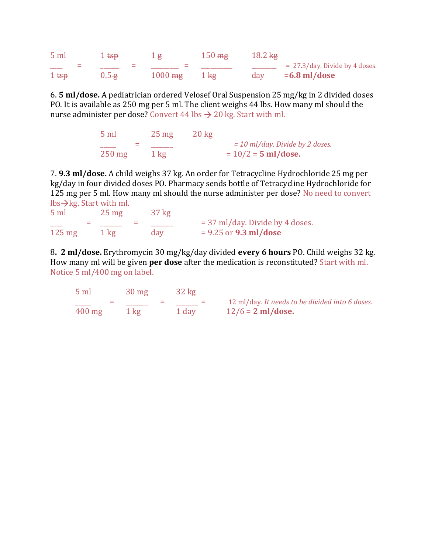| 5 <sub>ml</sub>  | $1$ tsp   |                    | $150 \ \text{mg}$ | $18.2 \,\mathrm{kg}$ |                                   |
|------------------|-----------|--------------------|-------------------|----------------------|-----------------------------------|
| =                |           |                    |                   |                      | $= 27.3$ /day. Divide by 4 doses. |
| 1 <sub>tsp</sub> | $0.5 - g$ | $1000 \ \text{mg}$ | $1 \text{ kg}$    | day                  | $=6.8$ ml/dose                    |

6. **5 ml/dose.** A pediatrician ordered Velosef Oral Suspension 25 mg/kg in 2 divided doses PO. It is available as 250 mg per 5 ml. The client weighs 44 lbs. How many ml should the nurse administer per dose? Convert 44 lbs  $\rightarrow$  20 kg. Start with ml.

| $5 \text{ ml}$ | $25 \text{ mg}$ | $20 \text{ kg}$ |                                   |
|----------------|-----------------|-----------------|-----------------------------------|
|                |                 |                 | $=$ 10 ml/day. Divide by 2 doses. |
| $250$ mg       | $1 \text{ kg}$  |                 | $= 10/2 = 5$ ml/dose.             |

7. **9.3 ml/dose.** A child weighs 37 kg. An order for Tetracycline Hydrochloride 25 mg per kg/day in four divided doses PO. Pharmacy sends bottle of Tetracycline Hydrochloride for 125 mg per 5 ml. How many ml should the nurse administer per dose? No need to convert  $\frac{1}{s}$ kg. Start with ml.

| 5 <sub>ml</sub>  | $25 \text{ mg}$ | $37 \text{ kg}$ |                                   |
|------------------|-----------------|-----------------|-----------------------------------|
|                  |                 |                 | $=$ 37 ml/day. Divide by 4 doses. |
| $125 \text{ mg}$ | $1 \text{ kg}$  | day             | $= 9.25$ or <b>9.3 ml/dose</b>    |

8**. 2 ml/dose.** Erythromycin 30 mg/kg/day divided **every 6 hours** PO. Child weighs 32 kg. How many ml will be given **per dose** after the medication is reconstituted? Start with ml. Notice 5 ml/400 mg on label.

| $5 \text{ ml}$   | $30 \text{ mg}$ | $32 \text{ kg}$ |                                                 |
|------------------|-----------------|-----------------|-------------------------------------------------|
|                  |                 |                 | 12 ml/day. It needs to be divided into 6 doses. |
| $400 \text{ mg}$ | 1 kg            | 1 day           | $12/6 = 2$ ml/dose.                             |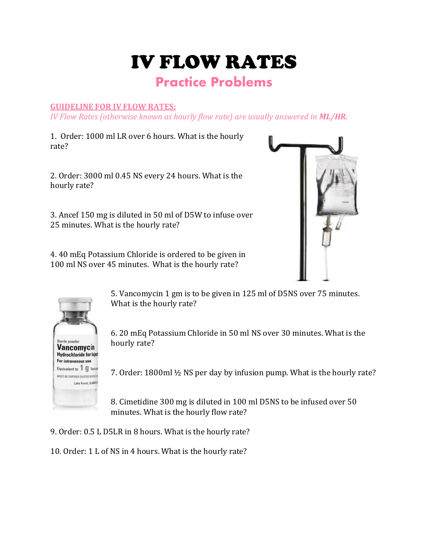# IV FLOW RATES

### **Practice Problems**

#### **GUIDELINE FOR IV FLOW RATES:**

*IV Flow Rates (otherwise known as hourly flow rate) are usually answered in ML/HR.*

1. Order: 1000 ml LR over 6 hours. What is the hourly rate?

2. Order: 3000 ml 0.45 NS every 24 hours. What is the hourly rate?

3. Ancef 150 mg is diluted in 50 ml of D5W to infuse over 25 minutes. What is the hourly rate?

4. 40 mEq Potassium Chloride is ordered to be given in 100 ml NS over 45 minutes. What is the hourly rate?





5. Vancomycin 1 gm is to be given in 125 ml of D5NS over 75 minutes. What is the hourly rate?

6. 20 mEq Potassium Chloride in 50 ml NS over 30 minutes. What is the hourly rate?

7. Order: 1800ml ½ NS per day by infusion pump. What is the hourly rate?

8. Cimetidine 300 mg is diluted in 100 ml D5NS to be infused over 50 minutes. What is the hourly flow rate?

- 9. Order: 0.5 L D5LR in 8 hours. What is the hourly rate?
- 10. Order: 1 L of NS in 4 hours. What is the hourly rate?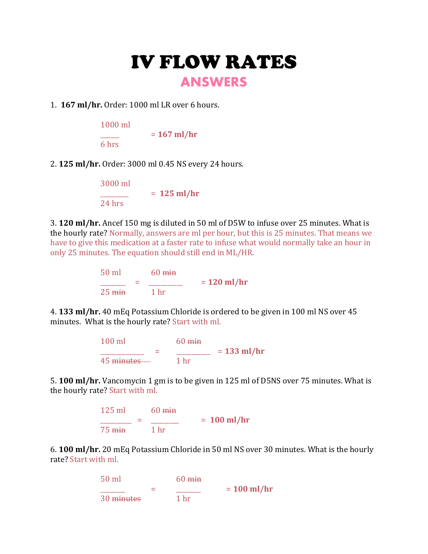### IV FLOW RATES **ANSWERS**

#### 1. **167 ml/hr.** Order: 1000 ml LR over 6 hours.

| $1000$ ml |               |
|-----------|---------------|
|           | $= 167$ ml/hr |
| 6 hrs     |               |

#### 2. **125 ml/hr.** Order: 3000 ml 0.45 NS every 24 hours.

| 3000 ml |               |
|---------|---------------|
|         | $= 125$ ml/hr |
| 24 hrs  |               |

3. **120 ml/hr.** Ancef 150 mg is diluted in 50 ml of D5W to infuse over 25 minutes. What is the hourly rate? Normally, answers are ml per hour, but this is 25 minutes. That means we have to give this medication at a faster rate to infuse what would normally take an hour in only 25 minutes. The equation should still end in ML/HR.

> 50 ml 60 min \_\_\_\_\_\_\_\_ = \_\_\_\_\_\_\_\_\_\_\_ = **120 ml/hr**  $25 \text{ min}$  1 hr

4. **133 ml/hr.** 40 mEq Potassium Chloride is ordered to be given in 100 ml NS over 45 minutes. What is the hourly rate? Start with ml.

> 100 ml  $\frac{60 \text{ min}}{100 \text{ min}}$ \_\_\_\_\_\_\_\_\_\_\_\_\_\_ = \_\_\_\_\_\_\_\_\_\_\_ = **133 ml/hr** 45 <del>minutes 1</del> hr

5. **100 ml/hr.** Vancomycin 1 gm is to be given in 125 ml of D5NS over 75 minutes. What is the hourly rate? Start with ml.



6. **100 ml/hr.** 20 mEq Potassium Chloride in 50 ml NS over 30 minutes. What is the hourly rate? Start with ml.

$$
\frac{50 \text{ ml}}{30 \text{ minutes}} = \frac{60 \text{ min}}{1 \text{ hr}} = 100 \text{ ml/hr}
$$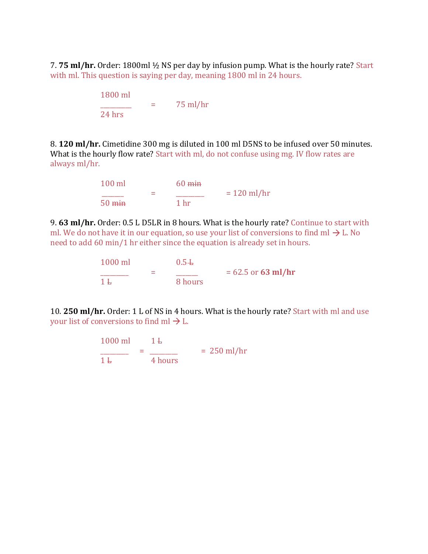7. **75 ml/hr.** Order: 1800ml ½ NS per day by infusion pump. What is the hourly rate? Start with ml. This question is saying per day, meaning 1800 ml in 24 hours.

| 1800 ml  |            |
|----------|------------|
|          | $75$ ml/hr |
| $24$ hrs |            |

8. **120 ml/hr.** Cimetidine 300 mg is diluted in 100 ml D5NS to be infused over 50 minutes. What is the hourly flow rate? Start with ml, do not confuse using mg. IV flow rates are always ml/hr.

> 100 ml 60 min \_\_\_\_\_\_\_ = \_\_\_\_\_\_\_\_\_ = 120 ml/hr 50 min 1 hr

9. **63 ml/hr.** Order: 0.5 L D5LR in 8 hours. What is the hourly rate? Continue to start with ml. We do not have it in our equation, so use your list of conversions to find ml  $\rightarrow$  L. No need to add 60 min/1 hr either since the equation is already set in hours.

| $1000$ ml |   | $0.5 +$ |                      |
|-----------|---|---------|----------------------|
| $1 +$     | = | 8 hours | $= 62.5$ or 63 ml/hr |

10. **250 ml/hr.** Order: 1 L of NS in 4 hours. What is the hourly rate? Start with ml and use your list of conversions to find ml  $\rightarrow$  L.

$$
\frac{1000 \text{ ml}}{1 \text{ L}} = \frac{1 \text{ L}}{4 \text{ hours}} = 250 \text{ ml/hr}
$$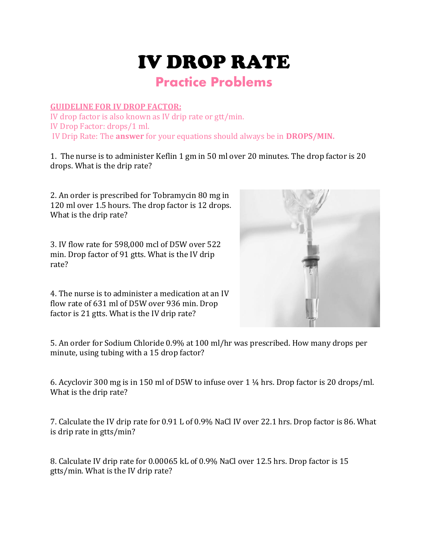# IV DROP RATE

### **Practice Problems**

#### **GUIDELINE FOR IV DROP FACTOR:**

IV drop factor is also known as IV drip rate or gtt/min. IV Drop Factor: drops/1 ml. IV Drip Rate: The **answer** for your equations should always be in **DROPS/MIN.**

1. The nurse is to administer Keflin 1 gm in 50 ml over 20 minutes. The drop factor is 20 drops. What is the drip rate?

2. An order is prescribed for Tobramycin 80 mg in 120 ml over 1.5 hours. The drop factor is 12 drops. What is the drip rate?

3. IV flow rate for 598,000 mcl of D5W over 522 min. Drop factor of 91 gtts. What is the IV drip rate?



4. The nurse is to administer a medication at an IV flow rate of 631 ml of D5W over 936 min. Drop factor is 21 gtts. What is the IV drip rate?

5. An order for Sodium Chloride 0.9% at 100 ml/hr was prescribed. How many drops per minute, using tubing with a 15 drop factor?

6. Acyclovir 300 mg is in 150 ml of D5W to infuse over 1 ¼ hrs. Drop factor is 20 drops/ml. What is the drip rate?

7. Calculate the IV drip rate for 0.91 L of 0.9% NaCl IV over 22.1 hrs. Drop factor is 86. What is drip rate in gtts/min?

8. Calculate IV drip rate for 0.00065 kL of 0.9% NaCl over 12.5 hrs. Drop factor is 15 gtts/min. What is the IV drip rate?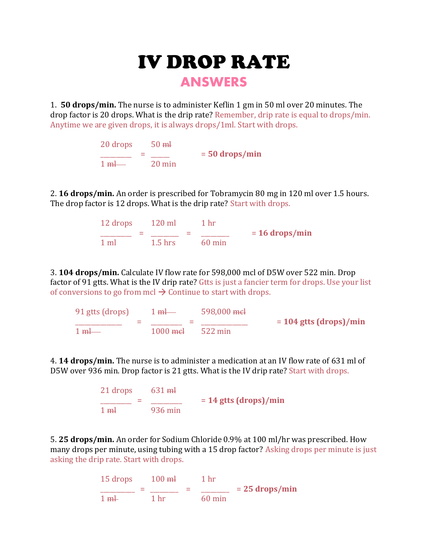# IV DROP RATE

### **ANSWERS**

1. **50 drops/min.** The nurse is to administer Keflin 1 gm in 50 ml over 20 minutes. The drop factor is 20 drops. What is the drip rate? Remember, drip rate is equal to drops/min. Anytime we are given drops, it is always drops/1ml. Start with drops.

> 20 drops 50 ml \_\_\_\_\_\_\_\_\_\_ = \_\_\_\_\_\_ = **50 drops/min**  $1 \text{ ml}$   $20 \text{ min}$

2. **16 drops/min.** An order is prescribed for Tobramycin 80 mg in 120 ml over 1.5 hours. The drop factor is 12 drops. What is the drip rate? Start with drops.

> 12 drops 120 ml 1 hr  $\frac{1}{\sqrt{2}}$  =  $\frac{1}{\sqrt{2}}$  =  $\frac{16 \text{ drops/min}}{2}$  $1.5$  hrs 60 min

3. **104 drops/min.** Calculate IV flow rate for 598,000 mcl of D5W over 522 min. Drop factor of 91 gtts. What is the IV drip rate? Gtts is just a fancier term for drops. Use your list of conversions to go from mcl  $\rightarrow$  Continue to start with drops.

91 gtts (drops)  $1 \text{ ml}$  598,000 mel<br>=  $204 \text{ g}$  =  $104 \text{ g}$  =  $104 \text{ g}$  =  $104 \text{ g}$  =  $104 \text{ g}$  =  $104 \text{ g}$  =  $104 \text{ g}$  =  $104 \text{ g}$  =  $104 \text{ g}$  =  $104 \text{ g}$  =  $104 \text{ g}$  =  $104 \text{ g}$  =  $104 \text{ g}$  =  $104 \text{ g}$  = \_\_\_\_\_\_\_\_\_\_\_\_\_\_\_ = \_\_\_\_\_\_\_\_\_\_ = \_\_\_\_\_\_\_\_\_\_\_\_\_\_\_ = **104 gtts (drops)/min**  $1000 \text{ m}$  = 522 min

4. **14 drops/min.** The nurse is to administer a medication at an IV flow rate of 631 ml of D5W over 936 min. Drop factor is 21 gtts. What is the IV drip rate? Start with drops.

> $21$  drops  $631$  ml \_\_\_\_\_\_\_\_\_\_ = \_\_\_\_\_\_\_\_\_\_ = **14 gtts (drops)/min** 1 ml 936 min

5. **25 drops/min.** An order for Sodium Chloride 0.9% at 100 ml/hr was prescribed. How many drops per minute, using tubing with a 15 drop factor? Asking drops per minute is just asking the drip rate. Start with drops.

$$
\frac{15 \text{ drops}}{1 \text{ ml}} = \frac{100 \text{ ml}}{1 \text{ hr}} = \frac{1 \text{ hr}}{60 \text{ min}} = 25 \text{ drops/min}
$$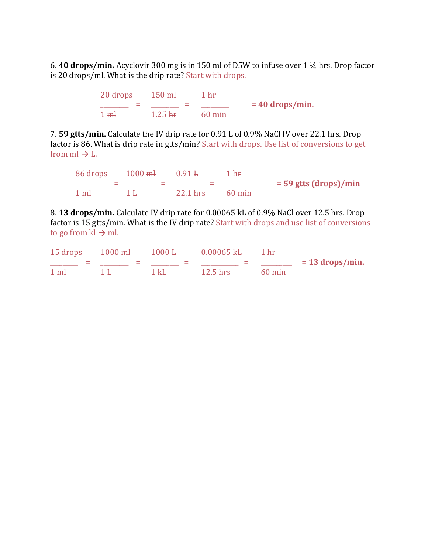6. **40 drops/min.** Acyclovir 300 mg is in 150 ml of D5W to infuse over 1 ¼ hrs. Drop factor is 20 drops/ml. What is the drip rate? Start with drops.

> $20$  drops  $150$  ml  $1$  hr  $\frac{1}{2}$  =  $\frac{1}{2}$  =  $\frac{1}{2}$  =  $\frac{1}{2}$  = 40 drops/min. 1 ml 1.25 hr 60 min

7. **59 gtts/min.** Calculate the IV drip rate for 0.91 L of 0.9% NaCl IV over 22.1 hrs. Drop factor is 86. What is drip rate in gtts/min? Start with drops. Use list of conversions to get from  $ml \rightarrow L$ .

86 drops 1000 ml 0.91 L 1 hr  $\frac{1}{2}$  =  $\frac{1}{2}$  =  $\frac{1}{2}$  =  $\frac{1}{2}$  =  $\frac{1}{2}$  =  $\frac{1}{2}$  = 59 gtts (drops)/min 1 ml 1 L 22.1 hrs 60 min

8. **13 drops/min.** Calculate IV drip rate for 0.00065 kL of 0.9% NaCl over 12.5 hrs. Drop factor is 15 gtts/min. What is the IV drip rate? Start with drops and use list of conversions to go from  $kl \rightarrow ml$ .

| $15$ drops $1000$ ml | $1000\,\mathrm{L}$     | $0.00065$ k <sup>L</sup> | 1 <sub>hr</sub>  |                   |
|----------------------|------------------------|--------------------------|------------------|-------------------|
|                      |                        |                          |                  | $= 13$ drops/min. |
| $1 \, \text{m}$      | $1 \text{ }\mathsf{H}$ | 12.5 h <del>rs</del>     | $60 \text{ min}$ |                   |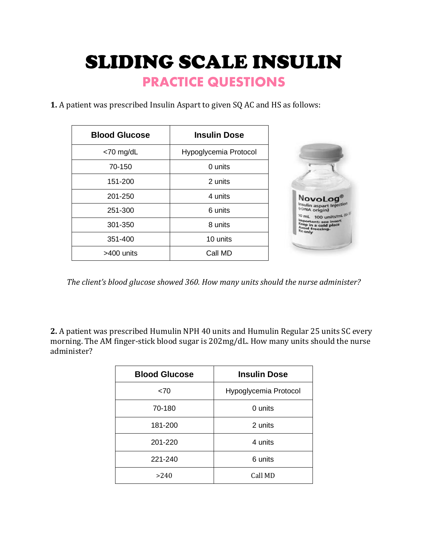SLIDING SCALE INSULIN **PRACTICE QUESTIONS**

**1.** A patient was prescribed Insulin Aspart to given SQ AC and HS as follows:

| <b>Blood Glucose</b> | <b>Insulin Dose</b>   |
|----------------------|-----------------------|
| $<$ 70 mg/dL         | Hypoglycemia Protocol |
| 70-150               | 0 units               |
| 151-200              | 2 units               |
| 201-250              | 4 units               |
| 251-300              | 6 units               |
| 301-350              | 8 units               |
| 351-400              | 10 units              |
| >400 units           | Call MD               |

*The client's blood glucose showed 360. How many units should the nurse administer?*

**2.** A patient was prescribed Humulin NPH 40 units and Humulin Regular 25 units SC every morning. The AM finger-stick blood sugar is 202mg/dL. How many units should the nurse administer?

| <b>Blood Glucose</b> | <b>Insulin Dose</b>   |
|----------------------|-----------------------|
| ~5                   | Hypoglycemia Protocol |
| 70-180               | 0 units               |
| 181-200              | 2 units               |
| 201-220              | 4 units               |
| 221-240              | 6 units               |
| >240                 | Call MD               |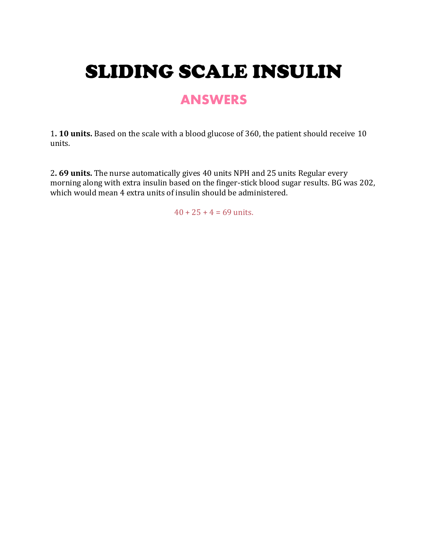# SLIDING SCALE INSULIN

### **ANSWERS**

1**. 10 units.** Based on the scale with a blood glucose of 360, the patient should receive 10 units.

2**. 69 units.** The nurse automatically gives 40 units NPH and 25 units Regular every morning along with extra insulin based on the finger-stick blood sugar results. BG was 202, which would mean 4 extra units of insulin should be administered.

 $40 + 25 + 4 = 69$  units.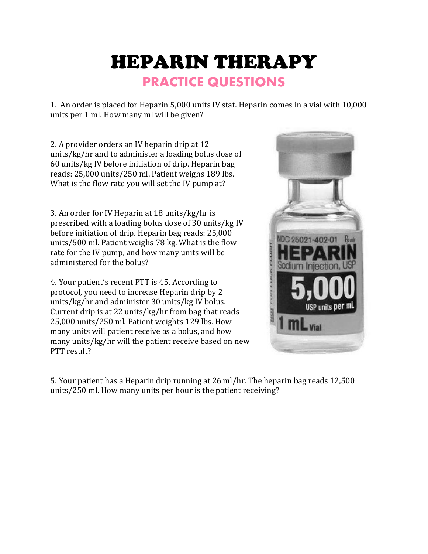## HEPARIN THERAPY **PRACTICE QUESTIONS**

1. An order is placed for Heparin 5,000 units IV stat. Heparin comes in a vial with 10,000 units per 1 ml. How many ml will be given?

2. A provider orders an IV heparin drip at 12 units/kg/hr and to administer a loading bolus dose of 60 units/kg IV before initiation of drip. Heparin bag reads: 25,000 units/250 ml. Patient weighs 189 lbs. What is the flow rate you will set the IV pump at?

3. An order for IV Heparin at 18 units/kg/hr is prescribed with a loading bolus dose of 30 units/kg IV before initiation of drip. Heparin bag reads: 25,000 units/500 ml. Patient weighs 78 kg. What is the flow rate for the IV pump, and how many units will be administered for the bolus?

4. Your patient's recent PTT is 45. According to protocol, you need to increase Heparin drip by 2 units/kg/hr and administer 30 units/kg IV bolus. Current drip is at 22 units/kg/hr from bag that reads 25,000 units/250 ml. Patient weights 129 lbs. How many units will patient receive as a bolus, and how many units/kg/hr will the patient receive based on new PTT result?



5. Your patient has a Heparin drip running at 26 ml/hr. The heparin bag reads 12,500 units/250 ml. How many units per hour is the patient receiving?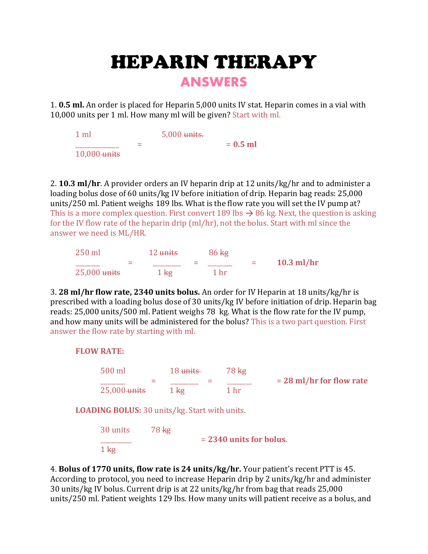# HEPARIN THERAPY

### **ANSWERS**

1. **0.5 ml.** An order is placed for Heparin 5,000 units IV stat. Heparin comes in a vial with 10,000 units per 1 ml. How many ml will be given? Start with ml.

1 ml 5,000 units.  $= 0.5$  ml 10,000 units

2. **10.3 ml/hr**. A provider orders an IV heparin drip at 12 units/kg/hr and to administer a loading bolus dose of 60 units/kg IV before initiation of drip. Heparin bag reads: 25,000 units/250 ml. Patient weighs 189 lbs. What is the flow rate you will set the IV pump at? This is a more complex question. First convert 189 lbs  $\rightarrow$  86 kg. Next, the question is asking for the IV flow rate of the heparin drip (ml/hr), not the bolus. Start with ml since the answer we need is ML/HR.

| $250$ ml       | 12 units       | $86 \text{ kg}$ |     |              |
|----------------|----------------|-----------------|-----|--------------|
|                |                |                 | $=$ | $10.3$ ml/hr |
| $25,000$ units | $1 \text{ kg}$ | 1 hr            |     |              |

3. **28 ml/hr flow rate, 2340 units bolus.** An order for IV Heparin at 18 units/kg/hr is prescribed with a loading bolus dose of 30 units/kg IV before initiation of drip. Heparin bag reads: 25,000 units/500 ml. Patient weighs 78 kg. What is the flow rate for the IV pump, and how many units will be administered for the bolus? This is a two part question. First answer the flow rate by starting with ml.

**FLOW RATE:**

 $1<sub>kg</sub>$ 

| 500 ml                                               | 18 units        | $78 \text{ kg}$           |                            |
|------------------------------------------------------|-----------------|---------------------------|----------------------------|
| $25,000$ units                                       | 1 <sub>kg</sub> | 1 <sub>hr</sub>           | $= 28$ ml/hr for flow rate |
| <b>LOADING BOLUS: 30 units/kg. Start with units.</b> |                 |                           |                            |
| 30 units                                             | $78 \text{ kg}$ |                           |                            |
|                                                      |                 | $= 2340$ units for bolus. |                            |

4. **Bolus of 1770 units, flow rate is 24 units/kg/hr.** Your patient's recent PTT is 45. According to protocol, you need to increase Heparin drip by 2 units/kg/hr and administer 30 units/kg IV bolus. Current drip is at 22 units/kg/hr from bag that reads 25,000 units/250 ml. Patient weights 129 lbs. How many units will patient receive as a bolus, and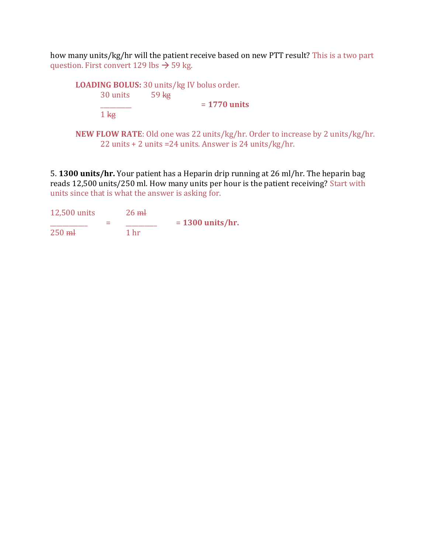how many units/kg/hr will the patient receive based on new PTT result? This is a two part question. First convert 129 lbs  $\rightarrow$  59 kg.

| <b>LOADING BOLUS: 30 units/kg IV bolus order.</b> |                  |                |
|---------------------------------------------------|------------------|----------------|
| 30 units                                          | 59 <sub>kg</sub> |                |
|                                                   |                  | $= 1770$ units |
| $1 \text{ kg}$                                    |                  |                |

**NEW FLOW RATE**: Old one was 22 units/kg/hr. Order to increase by 2 units/kg/hr. 22 units + 2 units =24 units. Answer is 24 units/kg/hr.

5. **1300 units/hr.** Your patient has a Heparin drip running at 26 ml/hr. The heparin bag reads 12,500 units/250 ml. How many units per hour is the patient receiving? Start with units since that is what the answer is asking for.

| 12,500 units |   | $26 \text{ m}$  |                    |
|--------------|---|-----------------|--------------------|
|              | ⋍ |                 | $= 1300$ units/hr. |
| $250$ mH     |   | 1 <sub>hr</sub> |                    |